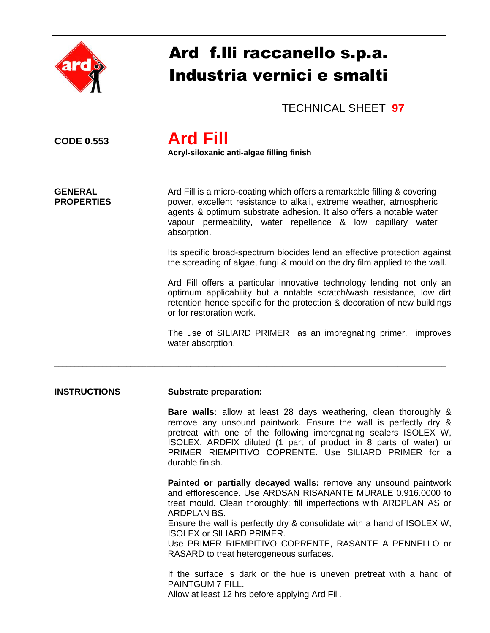

# Ard f.lli raccanello s.p.a. Industria vernici e smalti

### TECHNICAL SHEET **97**

## **CODE 0.553 Ard Fill Acryl-siloxanic anti-algae filling finish** \_\_\_\_\_\_\_\_\_\_\_\_\_\_\_\_\_\_\_\_\_\_\_\_\_\_\_\_\_\_\_\_\_\_\_\_\_\_\_\_\_\_\_\_\_\_\_\_\_\_\_\_\_\_\_\_\_\_\_\_\_\_\_\_\_\_\_\_\_\_\_\_\_\_\_\_\_\_\_\_\_\_\_\_\_\_\_\_\_\_\_\_\_\_\_\_\_\_\_ **GENERAL** Ard Fill is a micro-coating which offers a remarkable filling & covering **PROPERTIES** power, excellent resistance to alkali, extreme weather, atmospheric agents & optimum substrate adhesion. It also offers a notable water vapour permeability, water repellence & low capillary water absorption.

\_\_\_\_\_\_\_\_\_\_\_\_\_\_\_\_\_\_\_\_\_\_\_\_\_\_\_\_\_\_\_\_\_\_\_\_\_\_\_\_\_\_\_\_\_\_\_\_\_\_\_\_\_\_\_\_\_\_\_\_\_\_\_\_\_\_\_\_\_\_\_\_\_\_\_\_\_\_\_\_\_\_\_\_\_\_\_\_\_\_\_\_\_\_\_\_\_\_

Its specific broad-spectrum biocides lend an effective protection against the spreading of algae, fungi & mould on the dry film applied to the wall.

Ard Fill offers a particular innovative technology lending not only an optimum applicability but a notable scratch/wash resistance, low dirt retention hence specific for the protection & decoration of new buildings or for restoration work.

The use of SILIARD PRIMER as an impregnating primer, improves water absorption.

#### **INSTRUCTIONS Substrate preparation:**

**Bare walls:** allow at least 28 days weathering, clean thoroughly & remove any unsound paintwork. Ensure the wall is perfectly dry & pretreat with one of the following impregnating sealers ISOLEX W, ISOLEX, ARDFIX diluted (1 part of product in 8 parts of water) or PRIMER RIEMPITIVO COPRENTE. Use SILIARD PRIMER for a durable finish.

**Painted or partially decayed walls:** remove any unsound paintwork and efflorescence. Use ARDSAN RISANANTE MURALE 0.916.0000 to treat mould. Clean thoroughly; fill imperfections with ARDPLAN AS or ARDPLAN BS.

Ensure the wall is perfectly dry & consolidate with a hand of ISOLEX W, ISOLEX or SILIARD PRIMER.

Use PRIMER RIEMPITIVO COPRENTE, RASANTE A PENNELLO or RASARD to treat heterogeneous surfaces.

If the surface is dark or the hue is uneven pretreat with a hand of PAINTGUM 7 FILL.

Allow at least 12 hrs before applying Ard Fill.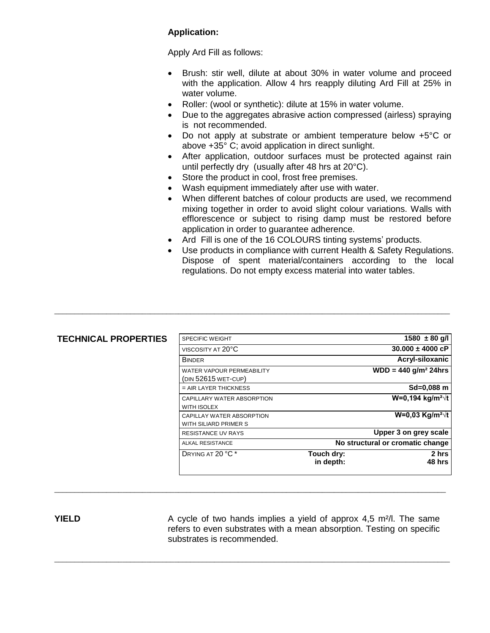#### **Application:**

Apply Ard Fill as follows:

- Brush: stir well, dilute at about 30% in water volume and proceed with the application. Allow 4 hrs reapply diluting Ard Fill at 25% in water volume.
- Roller: (wool or synthetic): dilute at 15% in water volume.
- Due to the aggregates abrasive action compressed (airless) spraying is not recommended.
- Do not apply at substrate or ambient temperature below +5°C or above +35° C; avoid application in direct sunlight.
- After application, outdoor surfaces must be protected against rain until perfectly dry (usually after 48 hrs at 20°C).
- Store the product in cool, frost free premises.
- Wash equipment immediately after use with water.
- When different batches of colour products are used, we recommend mixing together in order to avoid slight colour variations. Walls with efflorescence or subject to rising damp must be restored before application in order to guarantee adherence.
- Ard Fill is one of the 16 COLOURS tinting systems' products.
- Use products in compliance with current Health & Safety Regulations. Dispose of spent material/containers according to the local regulations. Do not empty excess material into water tables.

| <b>TECHNICAL PROPERTIES</b> | <b>SPECIFIC WEIGHT</b>                           |                                  | $1580 \pm 80$ g/l                    |
|-----------------------------|--------------------------------------------------|----------------------------------|--------------------------------------|
|                             | VISCOSITY AT 20°C                                |                                  | $30.000 \pm 4000$ cP                 |
|                             | <b>BINDER</b>                                    |                                  | Acryl-siloxanic                      |
|                             | WATER VAPOUR PERMEABILITY<br>(DIN 52615 WET-CUP) |                                  | $WDD = 440$ g/m <sup>2</sup> 24hrs   |
|                             | $=$ AIR LAYER THICKNESS                          |                                  | $Sd = 0.088$ m                       |
|                             | CAPILLARY WATER ABSORPTION                       |                                  | W=0,194 kg/m <sup>2</sup> $\sqrt{t}$ |
|                             | WITH ISOLEX                                      |                                  |                                      |
|                             | CAPILLAY WATER ABSORPTION                        |                                  | W=0,03 Kg/m <sup>2</sup> $\sqrt{t}$  |
|                             | WITH SILIARD PRIMER S                            |                                  |                                      |
|                             | <b>RESISTANCE UV RAYS</b>                        |                                  | Upper 3 on grey scale                |
|                             | <b>ALKAL RESISTANCE</b>                          | No structural or cromatic change |                                      |
|                             | DRYING AT 20 °C <sup>*</sup>                     | Touch dry:<br>in depth:          | 2 hrs<br>48 hrs                      |

 $\_$  ,  $\_$  ,  $\_$  ,  $\_$  ,  $\_$  ,  $\_$  ,  $\_$  ,  $\_$  ,  $\_$  ,  $\_$  ,  $\_$  ,  $\_$  ,  $\_$  ,  $\_$  ,  $\_$  ,  $\_$  ,  $\_$  ,  $\_$  ,  $\_$  ,  $\_$  ,  $\_$  ,  $\_$  ,  $\_$  ,  $\_$  ,  $\_$  ,  $\_$  ,  $\_$  ,  $\_$  ,  $\_$  ,  $\_$  ,  $\_$  ,  $\_$  ,  $\_$  ,  $\_$  ,  $\_$  ,  $\_$  ,  $\_$  ,

\_\_\_\_\_\_\_\_\_\_\_\_\_\_\_\_\_\_\_\_\_\_\_\_\_\_\_\_\_\_\_\_\_\_\_\_\_\_\_\_\_\_\_\_\_\_\_\_\_\_\_\_\_\_\_\_\_\_\_\_\_\_\_\_\_\_\_\_\_\_\_\_\_\_\_\_\_\_\_\_\_\_\_\_\_\_\_\_\_\_\_\_\_\_\_\_\_\_\_

\_\_\_\_\_\_\_\_\_\_\_\_\_\_\_\_\_\_\_\_\_\_\_\_\_\_\_\_\_\_\_\_\_\_\_\_\_\_\_\_\_\_\_\_\_\_\_\_\_\_\_\_\_\_\_\_\_\_\_\_\_\_\_\_\_\_\_\_\_\_\_\_\_\_\_\_\_\_\_\_\_\_\_\_\_\_\_\_\_\_\_\_\_\_\_\_\_\_\_

**YIELD** A cycle of two hands implies a yield of approx 4,5 m<sup>2</sup>/l. The same refers to even substrates with a mean absorption. Testing on specific substrates is recommended.